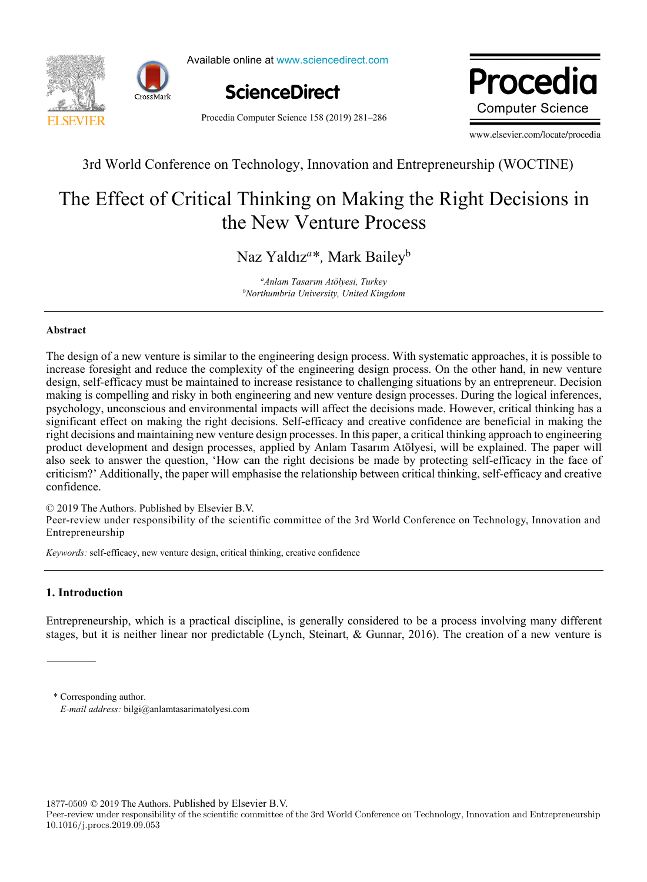

Available online at www.sciencedirect.com



Procedia Computer Science 158 (2019) 281–286

Draaadia ri ucedia **Computer Science** 

www.elsevier.com/locate/procedia

 $3r$  world  $2r$  on Technology, Innovation and Entrepreneurship (WOCTINE) 3rd World Conference on Technology, Innovation and Entrepreneurship (WOCTINE)

# The Effect of Critical Thinking on Making the Right Decisions in the New Venture Process The Effect of Critical Thinking on Making the Right Decisions in the New Venture Process

# Naz Yaldız*<sup>a</sup>*\**,* Mark Baileyb Naz Yaldız*<sup>a</sup>*\**,* Mark Baileyb

*Northumbria University, United Kingdom a Anlam Tasarım Atölyesi, Turkey b Northumbria University, United Kingdom*

### **Abstract**

The design of a new venture is similar to the engineering design process. With systematic approaches, it is possible to increase foresight and reduce the complexity of the engineering design process. On the other hand, in new venture design, self-efficacy must be maintained to increase resistance to challenging situations by an entrepreneur. Decision making is compelling and risky in both engineering and new venture design processes. During the logical inferences, psychology, unconscious and environmental impacts will affect the decisions made. However, critical thinking has a significant effect on making the right decisions. Self-efficacy and creative confidence are beneficial in making the right decisions and maintaining new venture design processes. In this paper, a critical thinking approach to engineering product development and design processes, applied by Anlam Tasarım Atölyesi, will be explained. The paper will also seek to answer the question, 'How can the right decisions be made by protecting self-efficacy in the face of criticism?' Additionally, the paper will emphasise the relationship between critical thinking, self-efficacy and creative confidence.

© 2019 The Authors. Published by Elsevier B.V.

© 2019 The Authors. Fuorished by Elsevier B.V.<br>Peer-review under responsibility of the scientific committee of the 3rd World Conference on Technology, Innovation and Entrepreneurship Entrepreneurship Petr-review under responsibility of the scientific committee of the 3rd World Conference on Technology, Innovation and<br>Enfrancements Entrepreneurship

*Keywords:* self-efficacy, new venture design, critical thinking, creative confidence

## **1. Introduction**

Entrepreneurship, which is a practical discipline, is generally considered to be a process involving many different stages, but it is neither linear nor predictable (Lynch, Steinart, & Gunnar, 2016). The creation of a new venture is

1877-0509 © 2019 The Authors. Published by Elsevier B.V.

Peer-review under responsibility of the scientific committee of the 3rd World Conference on Technology, Innovation and Entrepreneurship 10.1016/j.procs.2019.09.053

<sup>\*</sup> Corresponding author. E-mail address: bilgi@anlamtasarimatolyesi.com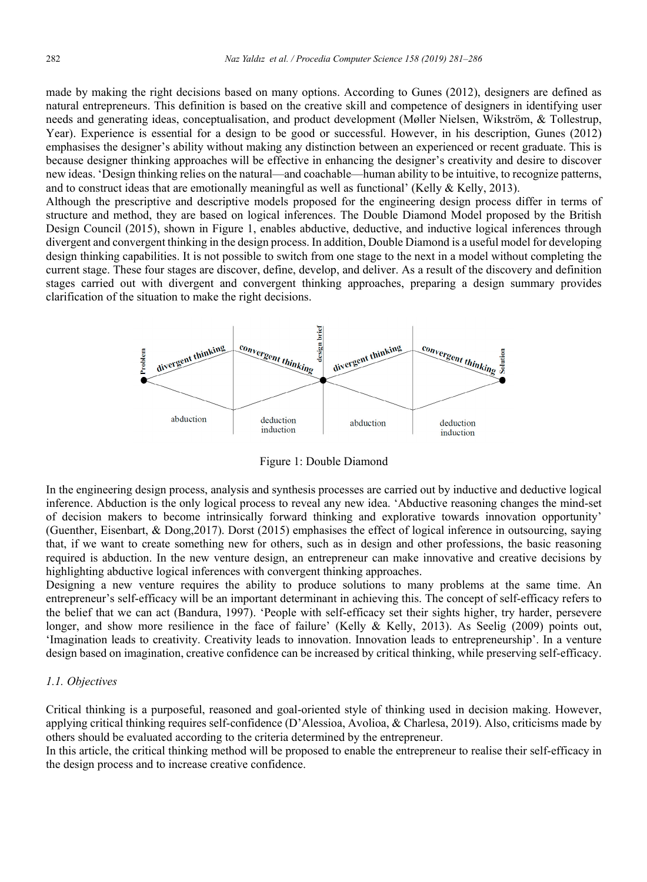made by making the right decisions based on many options. According to Gunes (2012), designers are defined as natural entrepreneurs. This definition is based on the creative skill and competence of designers in identifying user needs and generating ideas, conceptualisation, and product development (Møller Nielsen, Wikström, & Tollestrup, Year). Experience is essential for a design to be good or successful. However, in his description, Gunes (2012) emphasises the designer's ability without making any distinction between an experienced or recent graduate. This is because designer thinking approaches will be effective in enhancing the designer's creativity and desire to discover new ideas. 'Design thinking relies on the natural—and coachable—human ability to be intuitive, to recognize patterns, and to construct ideas that are emotionally meaningful as well as functional' (Kelly & Kelly, 2013).

Although the prescriptive and descriptive models proposed for the engineering design process differ in terms of structure and method, they are based on logical inferences. The Double Diamond Model proposed by the British Design Council (2015), shown in Figure 1, enables abductive, deductive, and inductive logical inferences through divergent and convergent thinking in the design process. In addition, Double Diamond is a useful model for developing design thinking capabilities. It is not possible to switch from one stage to the next in a model without completing the current stage. These four stages are discover, define, develop, and deliver. As a result of the discovery and definition stages carried out with divergent and convergent thinking approaches, preparing a design summary provides clarification of the situation to make the right decisions.



Figure 1: Double Diamond

In the engineering design process, analysis and synthesis processes are carried out by inductive and deductive logical inference. Abduction is the only logical process to reveal any new idea. 'Abductive reasoning changes the mind-set of decision makers to become intrinsically forward thinking and explorative towards innovation opportunity' (Guenther, Eisenbart, & Dong,2017). Dorst (2015) emphasises the effect of logical inference in outsourcing, saying that, if we want to create something new for others, such as in design and other professions, the basic reasoning required is abduction. In the new venture design, an entrepreneur can make innovative and creative decisions by highlighting abductive logical inferences with convergent thinking approaches.

Designing a new venture requires the ability to produce solutions to many problems at the same time. An entrepreneur's self-efficacy will be an important determinant in achieving this. The concept of self-efficacy refers to the belief that we can act (Bandura, 1997). 'People with self-efficacy set their sights higher, try harder, persevere longer, and show more resilience in the face of failure' (Kelly & Kelly, 2013). As Seelig (2009) points out, 'Imagination leads to creativity. Creativity leads to innovation. Innovation leads to entrepreneurship'. In a venture design based on imagination, creative confidence can be increased by critical thinking, while preserving self-efficacy.

#### *1.1. Objectives*

Critical thinking is a purposeful, reasoned and goal-oriented style of thinking used in decision making. However, applying critical thinking requires self-confidence (D'Alessioa, Avolioa, & Charlesa, 2019). Also, criticisms made by others should be evaluated according to the criteria determined by the entrepreneur.

In this article, the critical thinking method will be proposed to enable the entrepreneur to realise their self-efficacy in the design process and to increase creative confidence.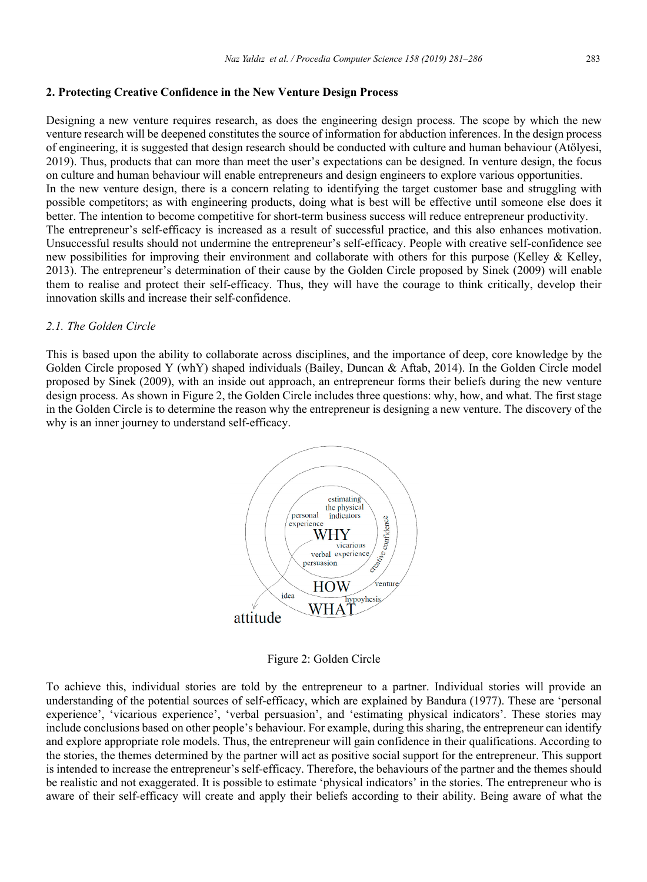### **2. Protecting Creative Confidence in the New Venture Design Process**

Designing a new venture requires research, as does the engineering design process. The scope by which the new venture research will be deepened constitutes the source of information for abduction inferences. In the design process of engineering, it is suggested that design research should be conducted with culture and human behaviour (Atölyesi, 2019). Thus, products that can more than meet the user's expectations can be designed. In venture design, the focus on culture and human behaviour will enable entrepreneurs and design engineers to explore various opportunities. In the new venture design, there is a concern relating to identifying the target customer base and struggling with possible competitors; as with engineering products, doing what is best will be effective until someone else does it better. The intention to become competitive for short-term business success will reduce entrepreneur productivity. The entrepreneur's self-efficacy is increased as a result of successful practice, and this also enhances motivation. Unsuccessful results should not undermine the entrepreneur's self-efficacy. People with creative self-confidence see new possibilities for improving their environment and collaborate with others for this purpose (Kelley & Kelley, 2013). The entrepreneur's determination of their cause by the Golden Circle proposed by Sinek (2009) will enable them to realise and protect their self-efficacy. Thus, they will have the courage to think critically, develop their innovation skills and increase their self-confidence.

## *2.1. The Golden Circle*

This is based upon the ability to collaborate across disciplines, and the importance of deep, core knowledge by the Golden Circle proposed Y (whY) shaped individuals (Bailey, Duncan & Aftab, 2014). In the Golden Circle model proposed by Sinek (2009), with an inside out approach, an entrepreneur forms their beliefs during the new venture design process. As shown in Figure 2, the Golden Circle includes three questions: why, how, and what. The first stage in the Golden Circle is to determine the reason why the entrepreneur is designing a new venture. The discovery of the why is an inner journey to understand self-efficacy.



Figure 2: Golden Circle

To achieve this, individual stories are told by the entrepreneur to a partner. Individual stories will provide an understanding of the potential sources of self-efficacy, which are explained by Bandura (1977). These are 'personal experience', 'vicarious experience', 'verbal persuasion', and 'estimating physical indicators'. These stories may include conclusions based on other people's behaviour. For example, during this sharing, the entrepreneur can identify and explore appropriate role models. Thus, the entrepreneur will gain confidence in their qualifications. According to the stories, the themes determined by the partner will act as positive social support for the entrepreneur. This support is intended to increase the entrepreneur's self-efficacy. Therefore, the behaviours of the partner and the themes should be realistic and not exaggerated. It is possible to estimate 'physical indicators' in the stories. The entrepreneur who is aware of their self-efficacy will create and apply their beliefs according to their ability. Being aware of what the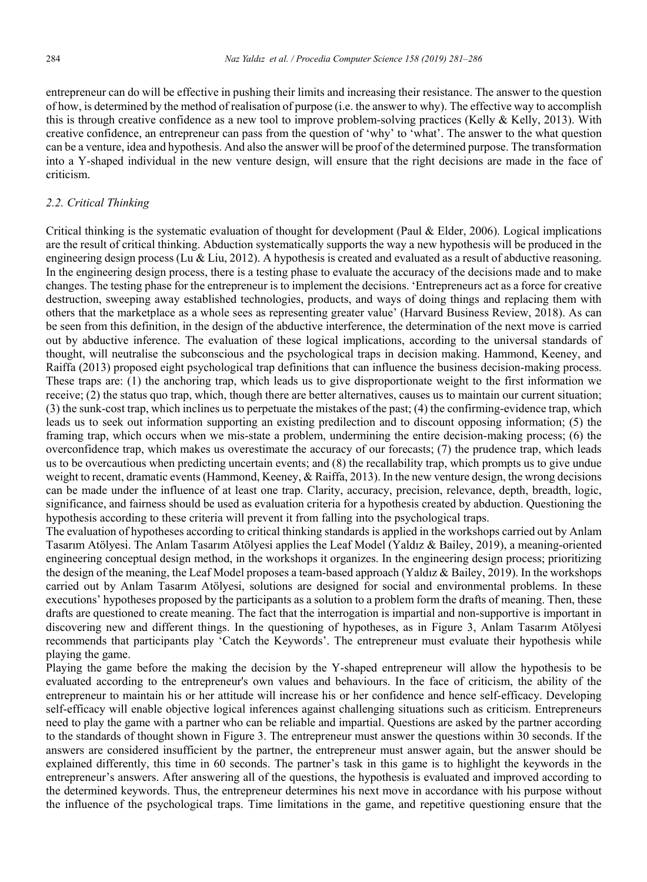entrepreneur can do will be effective in pushing their limits and increasing their resistance. The answer to the question of how, is determined by the method of realisation of purpose (i.e. the answer to why). The effective way to accomplish this is through creative confidence as a new tool to improve problem-solving practices (Kelly & Kelly, 2013). With creative confidence, an entrepreneur can pass from the question of 'why' to 'what'. The answer to the what question can be a venture, idea and hypothesis. And also the answer will be proof of the determined purpose. The transformation into a Y-shaped individual in the new venture design, will ensure that the right decisions are made in the face of criticism.

## *2.2. Critical Thinking*

Critical thinking is the systematic evaluation of thought for development (Paul & Elder, 2006). Logical implications are the result of critical thinking. Abduction systematically supports the way a new hypothesis will be produced in the engineering design process (Lu & Liu, 2012). A hypothesis is created and evaluated as a result of abductive reasoning. In the engineering design process, there is a testing phase to evaluate the accuracy of the decisions made and to make changes. The testing phase for the entrepreneur is to implement the decisions. 'Entrepreneurs act as a force for creative destruction, sweeping away established technologies, products, and ways of doing things and replacing them with others that the marketplace as a whole sees as representing greater value' (Harvard Business Review, 2018). As can be seen from this definition, in the design of the abductive interference, the determination of the next move is carried out by abductive inference. The evaluation of these logical implications, according to the universal standards of thought, will neutralise the subconscious and the psychological traps in decision making. Hammond, Keeney, and Raiffa (2013) proposed eight psychological trap definitions that can influence the business decision-making process. These traps are: (1) the anchoring trap, which leads us to give disproportionate weight to the first information we receive; (2) the status quo trap, which, though there are better alternatives, causes us to maintain our current situation; (3) the sunk-cost trap, which inclines us to perpetuate the mistakes of the past; (4) the confirming-evidence trap, which leads us to seek out information supporting an existing predilection and to discount opposing information; (5) the framing trap, which occurs when we mis-state a problem, undermining the entire decision-making process; (6) the overconfidence trap, which makes us overestimate the accuracy of our forecasts; (7) the prudence trap, which leads us to be overcautious when predicting uncertain events; and (8) the recallability trap, which prompts us to give undue weight to recent, dramatic events (Hammond, Keeney, & Raiffa, 2013). In the new venture design, the wrong decisions can be made under the influence of at least one trap. Clarity, accuracy, precision, relevance, depth, breadth, logic, significance, and fairness should be used as evaluation criteria for a hypothesis created by abduction. Questioning the hypothesis according to these criteria will prevent it from falling into the psychological traps.

The evaluation of hypotheses according to critical thinking standards is applied in the workshops carried out by Anlam Tasarım Atölyesi. The Anlam Tasarım Atölyesi applies the Leaf Model (Yaldız & Bailey, 2019), a meaning-oriented engineering conceptual design method, in the workshops it organizes. In the engineering design process; prioritizing the design of the meaning, the Leaf Model proposes a team-based approach (Yaldız & Bailey, 2019). In the workshops carried out by Anlam Tasarım Atölyesi, solutions are designed for social and environmental problems. In these executions' hypotheses proposed by the participants as a solution to a problem form the drafts of meaning. Then, these drafts are questioned to create meaning. The fact that the interrogation is impartial and non-supportive is important in discovering new and different things. In the questioning of hypotheses, as in Figure 3, Anlam Tasarım Atölyesi recommends that participants play 'Catch the Keywords'. The entrepreneur must evaluate their hypothesis while playing the game.

Playing the game before the making the decision by the Y-shaped entrepreneur will allow the hypothesis to be evaluated according to the entrepreneur's own values and behaviours. In the face of criticism, the ability of the entrepreneur to maintain his or her attitude will increase his or her confidence and hence self-efficacy. Developing self-efficacy will enable objective logical inferences against challenging situations such as criticism. Entrepreneurs need to play the game with a partner who can be reliable and impartial. Questions are asked by the partner according to the standards of thought shown in Figure 3. The entrepreneur must answer the questions within 30 seconds. If the answers are considered insufficient by the partner, the entrepreneur must answer again, but the answer should be explained differently, this time in 60 seconds. The partner's task in this game is to highlight the keywords in the entrepreneur's answers. After answering all of the questions, the hypothesis is evaluated and improved according to the determined keywords. Thus, the entrepreneur determines his next move in accordance with his purpose without the influence of the psychological traps. Time limitations in the game, and repetitive questioning ensure that the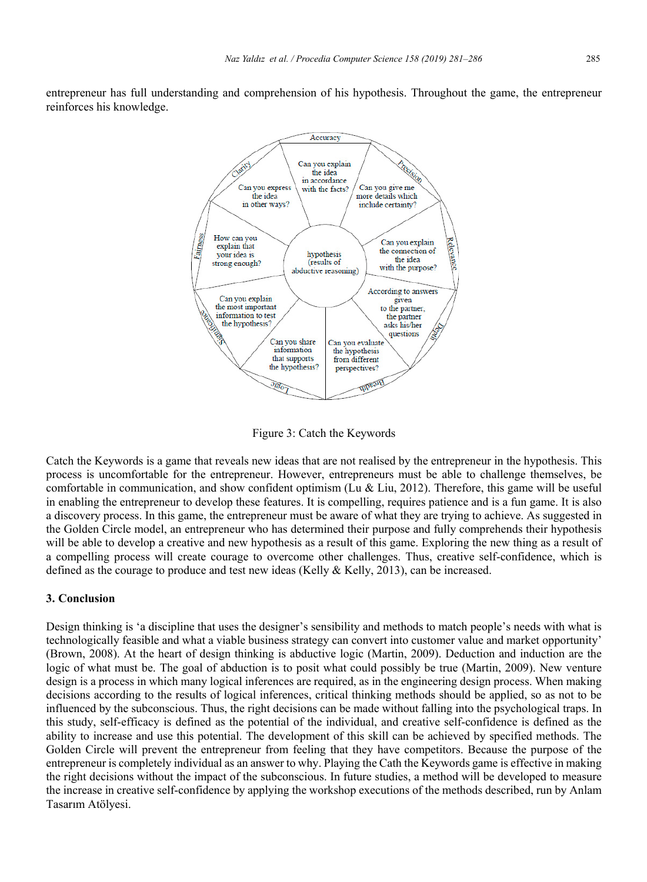entrepreneur has full understanding and comprehension of his hypothesis. Throughout the game, the entrepreneur reinforces his knowledge.



Figure 3: Catch the Keywords

Catch the Keywords is a game that reveals new ideas that are not realised by the entrepreneur in the hypothesis. This process is uncomfortable for the entrepreneur. However, entrepreneurs must be able to challenge themselves, be comfortable in communication, and show confident optimism (Lu & Liu, 2012). Therefore, this game will be useful in enabling the entrepreneur to develop these features. It is compelling, requires patience and is a fun game. It is also a discovery process. In this game, the entrepreneur must be aware of what they are trying to achieve. As suggested in the Golden Circle model, an entrepreneur who has determined their purpose and fully comprehends their hypothesis will be able to develop a creative and new hypothesis as a result of this game. Exploring the new thing as a result of a compelling process will create courage to overcome other challenges. Thus, creative self-confidence, which is defined as the courage to produce and test new ideas (Kelly  $&$  Kelly, 2013), can be increased.

#### **3. Conclusion**

Design thinking is 'a discipline that uses the designer's sensibility and methods to match people's needs with what is technologically feasible and what a viable business strategy can convert into customer value and market opportunity' (Brown, 2008). At the heart of design thinking is abductive logic (Martin, 2009). Deduction and induction are the logic of what must be. The goal of abduction is to posit what could possibly be true (Martin, 2009). New venture design is a process in which many logical inferences are required, as in the engineering design process. When making decisions according to the results of logical inferences, critical thinking methods should be applied, so as not to be influenced by the subconscious. Thus, the right decisions can be made without falling into the psychological traps. In this study, self-efficacy is defined as the potential of the individual, and creative self-confidence is defined as the ability to increase and use this potential. The development of this skill can be achieved by specified methods. The Golden Circle will prevent the entrepreneur from feeling that they have competitors. Because the purpose of the entrepreneur is completely individual as an answer to why. Playing the Cath the Keywords game is effective in making the right decisions without the impact of the subconscious. In future studies, a method will be developed to measure the increase in creative self-confidence by applying the workshop executions of the methods described, run by Anlam Tasarım Atölyesi.